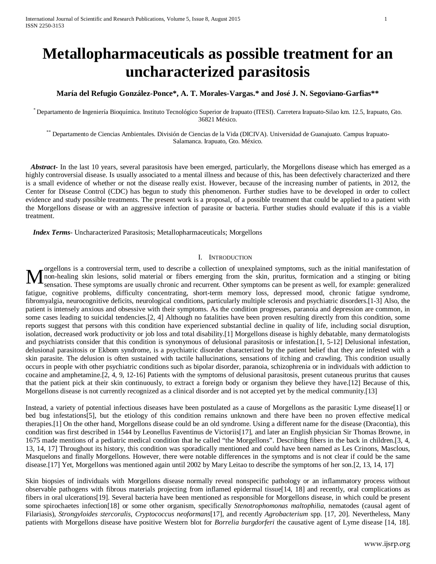# **Metallopharmaceuticals as possible treatment for an uncharacterized parasitosis**

## **María del Refugio González-Ponce\*, A. T. Morales-Vargas.\* and José J. N. Segoviano-Garfias\*\***

\* Departamento de Ingeniería Bioquímica. Instituto Tecnológico Superior de Irapuato (ITESI). Carretera Irapuato-Silao km. 12.5, Irapuato, Gto. 36821 México.

\*\* Departamento de Ciencias Ambientales. División de Ciencias de la Vida (DICIVA). Universidad de Guanajuato. Campus Irapuato-Salamanca. Irapuato, Gto. México.

*Abstract* In the last 10 years, several parasitosis have been emerged, particularly, the Morgellons disease which has emerged as a highly controversial disease. Is usually associated to a mental illness and because of this, has been defectively characterized and there is a small evidence of whether or not the disease really exist. However, because of the increasing number of patients, in 2012, the Center for Disease Control (CDC) has begun to study this phenomenon. Further studies have to be developed in order to collect evidence and study possible treatments. The present work is a proposal, of a possible treatment that could be applied to a patient with the Morgellons disease or with an aggressive infection of parasite or bacteria. Further studies should evaluate if this is a viable treatment.

 *Index Terms*- Uncharacterized Parasitosis; Metallopharmaceuticals; Morgellons

#### I. INTRODUCTION

orgellons is a controversial term, used to describe a collection of unexplained symptoms, such as the initial manifestation of non-healing skin lesions, solid material or fibers emerging from the skin, pruritus, formication and a stinging or biting sensation. These symptoms are usually chronic and recurrent. Other symptoms can be present as well, for example: generalized fatigue, cognitive problems, difficulty concentrating, short-term memory loss, depressed mood, chronic fatigue syndrome, fibromyalgia, neurocognitive deficits, neurological conditions, particularly multiple sclerosis and psychiatric disorders.[1-3] Also, the patient is intensely anxious and obsessive with their symptoms. As the condition progresses, paranoia and depression are common, in some cases leading to suicidal tendencies.[2, 4] Although no fatalities have been proven resulting directly from this condition, some reports suggest that persons with this condition have experienced substantial decline in quality of life, including social disruption, isolation, decreased work productivity or job loss and total disability.[1] Morgellons disease is highly debatable, many dermatologists and psychiatrists consider that this condition is synonymous of delusional parasitosis or infestation.[1, 5-12] Delusional infestation, delusional parasitosis or Ekbom syndrome, is a psychiatric disorder characterized by the patient belief that they are infested with a skin parasite. The delusion is often sustained with tactile hallucinations, sensations of itching and crawling. This condition usually occurs in people with other psychiatric conditions such as bipolar disorder, paranoia, schizophrenia or in individuals with addiction to cocaine and amphetamine.[2, 4, 9, 12-16] Patients with the symptoms of delusional parasitosis, present cutaneous pruritus that causes that the patient pick at their skin continuously, to extract a foreign body or organism they believe they have.[12] Because of this, Morgellons disease is not currently recognized as a clinical disorder and is not accepted yet by the medical community.[13] M

Instead, a variety of potential infectious diseases have been postulated as a cause of Morgellons as the parasitic Lyme disease[1] or bed bug infestations[5], but the etiology of this condition remains unknown and there have been no proven effective medical therapies.[1] On the other hand, Morgellons disease could be an old syndrome. Using a different name for the disease (Dracontia), this condition was first described in 1544 by Leonellus Faventinus de Victoriis[17], and later an English physician Sir Thomas Browne, in 1675 made mentions of a pediatric medical condition that he called "the Morgellons". Describing fibers in the back in children.[3, 4, 13, 14, 17] Throughout its history, this condition was sporadically mentioned and could have been named as Les Crinons, Masclous, Masquelons and finally Morgellons. However, there were notable differences in the symptoms and is not clear if could be the same disease.[17] Yet, Morgellons was mentioned again until 2002 by Mary Leitao to describe the symptoms of her son.[2, 13, 14, 17]

Skin biopsies of individuals with Morgellons disease normally reveal nonspecific pathology or an inflammatory process without observable pathogens with fibrous materials projecting from inflamed epidermal tissue[14, 18] and recently, oral complications as fibers in oral ulcerations[19]. Several bacteria have been mentioned as responsible for Morgellons disease, in which could be present some spirochaetes infection[18] or some other organism, specifically *Stenotrophomonas maltophilia*, nematodes (causal agent of Filariasis)*, Strongyloides stercoralis*, *Cryptococcus neoformans*[17], and recently *Agrobacterium* spp. [17, 20]. Nevertheless, Many patients with Morgellons disease have positive Western blot for *Borrelia burgdorferi* the causative agent of Lyme disease [14, 18].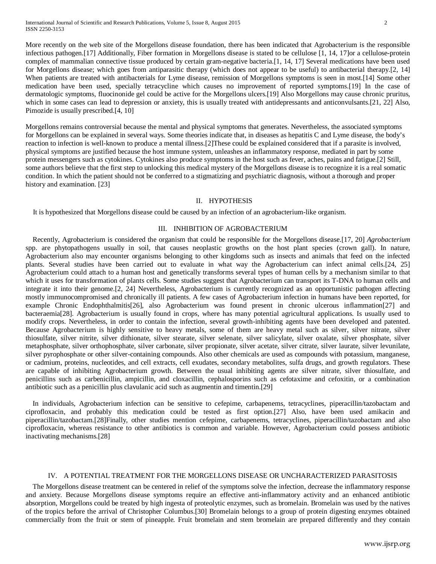International Journal of Scientific and Research Publications, Volume 5, Issue 8, August 2015 2 ISSN 2250-3153

More recently on the web site of the Morgellons disease foundation, there has been indicated that Agrobacterium is the responsible infectious pathogen.[17] Additionally, Fiber formation in Morgellons disease is stated to be cellulose [1, 14, 17]or a cellulose-protein complex of mammalian connective tissue produced by certain gram-negative bacteria.[1, 14, 17] Several medications have been used for Morgellons disease; which goes from antiparasitic therapy (which does not appear to be useful) to antibacterial therapy.[2, 14] When patients are treated with antibacterials for Lyme disease, remission of Morgellons symptoms is seen in most.[14] Some other medication have been used, specially tetracycline which causes no improvement of reported symptoms.[19] In the case of dermatologic symptoms, fluocinonide gel could be active for the Morgellons ulcers.[19] Also Morgellons may cause chronic pruritus, which in some cases can lead to depression or anxiety, this is usually treated with antidepressants and anticonvulsants.[21, 22] Also, Pimozide is usually prescribed.[4, 10]

Morgellons remains controversial because the mental and physical symptoms that generates. Nevertheless, the associated symptoms for Morgellons can be explained in several ways. Some theories indicate that, in diseases as hepatitis C and Lyme disease, the body's reaction to infection is well-known to produce a mental illness.[2]These could be explained considered that if a parasite is involved, physical symptoms are justified because the host immune system, unleashes an inflammatory response, mediated in part by some protein messengers such as cytokines. Cytokines also produce symptoms in the host such as fever, aches, pains and fatigue.[2] Still, some authors believe that the first step to unlocking this medical mystery of the Morgellons disease is to recognize it is a real somatic condition. In which the patient should not be conferred to a stigmatizing and psychiatric diagnosis, without a thorough and proper history and examination. [23]

#### II. HYPOTHESIS

It is hypothesized that Morgellons disease could be caused by an infection of an agrobacterium-like organism.

#### III. INHIBITION OF AGROBACTERIUM

 Recently, Agrobacterium is considered the organism that could be responsible for the Morgellons disease.[17, 20] *Agrobacterium* spp. are phytopathogens usually in soil, that causes neoplastic growths on the host plant species (crown gall). In nature, Agrobacterium also may encounter organisms belonging to other kingdoms such as insects and animals that feed on the infected plants. Several studies have been carried out to evaluate in what way the Agrobacterium can infect animal cells.[24, 25] Agrobacterium could attach to a human host and genetically transforms several types of human cells by a mechanism similar to that which it uses for transformation of plants cells. Some studies suggest that Agrobacterium can transport its T-DNA to human cells and integrate it into their genome.[2, 24] Nevertheless, Agrobacterium is currently recognized as an opportunistic pathogen affecting mostly immunocompromised and chronically ill patients. A few cases of Agrobacterium infection in humans have been reported, for example Chronic Endophthalmitis[26], also Agrobacterium was found present in chronic ulcerous inflammation[27] and bacteraemia[28]. Agrobacterium is usually found in crops, where has many potential agricultural applications. Is usually used to modify crops. Nevertheless, in order to contain the infection, several growth-inhibiting agents have been developed and patented. Because Agrobacterium is highly sensitive to heavy metals, some of them are heavy metal such as silver, silver nitrate, silver thiosulfate, silver nitrite, silver dithionate, silver stearate, silver selenate, silver salicylate, silver oxalate, silver phosphate, silver metaphosphate, silver orthophosphate, silver carbonate, silver propionate, silver acetate, silver citrate, silver laurate, silver levunilate, silver pyrophosphate or other silver-containing compounds. Also other chemicals are used as compounds with potassium, manganese, or cadmium, proteins, nucleotides, and cell extracts, cell exudates, secondary metabolites, sulfa drugs, and growth regulators. These are capable of inhibiting Agrobacterium growth. Between the usual inhibiting agents are silver nitrate, silver thiosulfate, and penicillins such as carbenicillin, ampicillin, and cloxacillin, cephalosporins such as cefotaxime and cefoxitin, or a combination antibiotic such as a penicillin plus clavulanic acid such as augmentin and timentin.[29]

 In individuals, Agrobacterium infection can be sensitive to cefepime, carbapenems, tetracyclines, piperacillin/tazobactam and ciprofloxacin, and probably this medication could be tested as first option.[27] Also, have been used amikacin and piperacillin/tazobactam.[28]Finally, other studies mention cefepime, carbapenems, tetracyclines, piperacillin/tazobactam and also ciprofloxacin, whereas resistance to other antibiotics is common and variable. However, Agrobacterium could possess antibiotic inactivating mechanisms.[28]

#### IV. A POTENTIAL TREATMENT FOR THE MORGELLONS DISEASE OR UNCHARACTERIZED PARASITOSIS

 The Morgellons disease treatment can be centered in relief of the symptoms solve the infection, decrease the inflammatory response and anxiety. Because Morgellons disease symptoms require an effective anti-inflammatory activity and an enhanced antibiotic absorption, Morgellons could be treated by high ingesta of proteolytic enzymes, such as bromelain. Bromelain was used by the natives of the tropics before the arrival of Christopher Columbus.[30] Bromelain belongs to a group of protein digesting enzymes obtained commercially from the fruit or stem of pineapple. Fruit bromelain and stem bromelain are prepared differently and they contain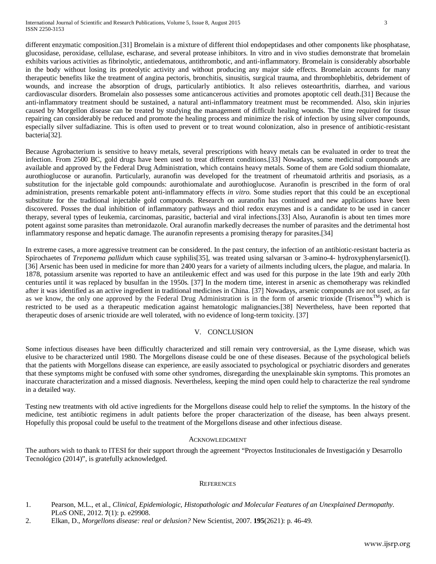different enzymatic composition.[31] Bromelain is a mixture of different thiol endopeptidases and other components like phosphatase, glucosidase, peroxidase, cellulase, escharase, and several protease inhibitors. In vitro and in vivo studies demonstrate that bromelain exhibits various activities as fibrinolytic, antiedematous, antithrombotic, and anti-inflammatory. Bromelain is considerably absorbable in the body without losing its proteolytic activity and without producing any major side effects. Bromelain accounts for many therapeutic benefits like the treatment of angina pectoris, bronchitis, sinusitis, surgical trauma, and thrombophlebitis, debridement of wounds, and increase the absorption of drugs, particularly antibiotics. It also relieves osteoarthritis, diarrhea, and various cardiovascular disorders. Bromelain also possesses some anticancerous activities and promotes apoptotic cell death.[31] Because the anti-inflammatory treatment should be sustained, a natural anti-inflammatory treatment must be recommended. Also, skin injuries caused by Morgellon disease can be treated by studying the management of difficult healing wounds. The time required for tissue repairing can considerably be reduced and promote the healing process and minimize the risk of infection by using silver compounds, especially silver sulfadiazine. This is often used to prevent or to treat wound colonization, also in presence of antibiotic-resistant bacteria[32].

Because Agrobacterium is sensitive to heavy metals, several prescriptions with heavy metals can be evaluated in order to treat the infection. From 2500 BC, gold drugs have been used to treat different conditions.[33] Nowadays, some medicinal compounds are available and approved by the Federal Drug Administration, which contains heavy metals. Some of them are Gold sodium thiomalate, aurothioglucose or auranofin. Particularly, auranofin was developed for the treatment of rheumatoid arthritis and psoriasis, as a substitution for the injectable gold compounds: aurothiomalate and aurothioglucose. Auranofin is prescribed in the form of oral administration, presents remarkable potent anti-inflammatory effects *in vitro*. Some studies report that this could be an exceptional substitute for the traditional injectable gold compounds. Research on auranofin has continued and new applications have been discovered. Posses the dual inhibition of inflammatory pathways and thiol redox enzymes and is a candidate to be used in cancer therapy, several types of leukemia, carcinomas, parasitic, bacterial and viral infections.[33] Also, Auranofin is about ten times more potent against some parasites than metronidazole. Oral auranofin markedly decreases the number of parasites and the detrimental host inflammatory response and hepatic damage. The auranofin represents a promising therapy for parasites.[34]

In extreme cases, a more aggressive treatment can be considered. In the past century, the infection of an antibiotic-resistant bacteria as Spirochaetes of *Treponema pallidum* which cause syphilis[35], was treated using salvarsan or 3-amino-4- hydroxyphenylarsenic(I). [36] Arsenic has been used in medicine for more than 2400 years for a variety of ailments including ulcers, the plague, and malaria. In 1878, potassium arsenite was reported to have an antileukemic effect and was used for this purpose in the late 19th and early 20th centuries until it was replaced by busulfan in the 1950s. [37] In the modern time, interest in arsenic as chemotherapy was rekindled after it was identified as an active ingredient in traditional medicines in China. [37] Nowadays, arsenic compounds are not used, as far as we know, the only one approved by the Federal Drug Administration is in the form of arsenic trioxide (Trisenox<sup>TM</sup>) which is restricted to be used as a therapeutic medication against hematologic malignancies.[38] Nevertheless, have been reported that therapeutic doses of arsenic trioxide are well tolerated, with no evidence of long-term toxicity. [37]

## V. CONCLUSION

Some infectious diseases have been difficultly characterized and still remain very controversial, as the Lyme disease, which was elusive to be characterized until 1980. The Morgellons disease could be one of these diseases. Because of the psychological beliefs that the patients with Morgellons disease can experience, are easily associated to psychological or psychiatric disorders and generates that these symptoms might be confused with some other syndromes, disregarding the unexplainable skin symptoms. This promotes an inaccurate characterization and a missed diagnosis. Nevertheless, keeping the mind open could help to characterize the real syndrome in a detailed way.

Testing new treatments with old active ingredients for the Morgellons disease could help to relief the symptoms. In the history of the medicine, test antibiotic regimens in adult patients before the proper characterization of the disease, has been always present. Hopefully this proposal could be useful to the treatment of the Morgellons disease and other infectious disease.

## ACKNOWLEDGMENT

The authors wish to thank to ITESI for their support through the agreement "Proyectos Institucionales de Investigación y Desarrollo Tecnológico (2014)", is gratefully acknowledged.

## **REFERENCES**

- 1. Pearson, M.L., et al., *Clinical, Epidemiologic, Histopathologic and Molecular Features of an Unexplained Dermopathy.* PLoS ONE, 2012. **7**(1): p. e29908.
- 2. Elkan, D., *Morgellons disease: real or delusion?* New Scientist, 2007. **195**(2621): p. 46-49.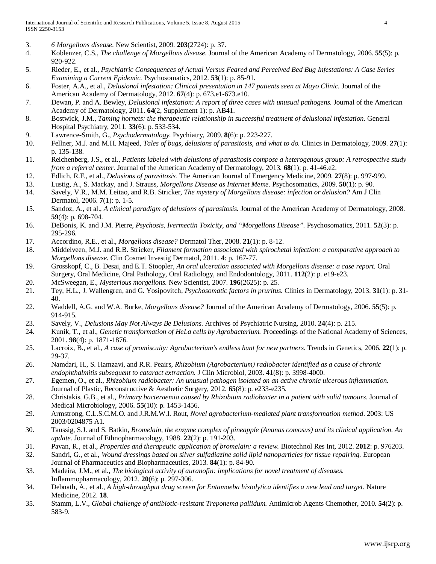- 3. *6 Morgellons disease.* New Scientist, 2009. **203**(2724): p. 37.
- 4. Koblenzer, C.S., *The challenge of Morgellons disease.* Journal of the American Academy of Dermatology, 2006. **55**(5): p. 920-922.
- 5. Rieder, E., et al., *Psychiatric Consequences of Actual Versus Feared and Perceived Bed Bug Infestations: A Case Series Examining a Current Epidemic.* Psychosomatics, 2012. **53**(1): p. 85-91.
- 6. Foster, A.A., et al., *Delusional infestation: Clinical presentation in 147 patients seen at Mayo Clinic.* Journal of the American Academy of Dermatology, 2012. **67**(4): p. 673.e1-673.e10.
- 7. Dewan, P. and A. Bewley, *Delusional infestation: A report of three cases with unusual pathogens.* Journal of the American Academy of Dermatology, 2011. **64**(2, Supplement 1): p. AB41.
- 8. Bostwick, J.M., *Taming hornets: the therapeutic relationship in successful treatment of delusional infestation.* General Hospital Psychiatry, 2011. **33**(6): p. 533-534.
- 9. Lawrence-Smith, G., *Psychodermatology.* Psychiatry, 2009. **8**(6): p. 223-227.
- 10. Fellner, M.J. and M.H. Majeed, *Tales of bugs, delusions of parasitosis, and what to do.* Clinics in Dermatology, 2009. **27**(1): p. 135-138.
- 11. Reichenberg, J.S., et al., *Patients labeled with delusions of parasitosis compose a heterogenous group: A retrospective study from a referral center.* Journal of the American Academy of Dermatology, 2013. **68**(1): p. 41-46.e2.
- 12. Edlich, R.F., et al., *Delusions of parasitosis.* The American Journal of Emergency Medicine, 2009. **27**(8): p. 997-999.
- 13. Lustig, A., S. Mackay, and J. Strauss, *Morgellons Disease as Internet Meme.* Psychosomatics, 2009. **50**(1): p. 90.
- 14. Savely, V.R., M.M. Leitao, and R.B. Stricker, *The mystery of Morgellons disease: infection or delusion?* Am J Clin Dermatol, 2006. **7**(1): p. 1-5.
- 15. Sandoz, A., et al., *A clinical paradigm of delusions of parasitosis.* Journal of the American Academy of Dermatology, 2008. **59**(4): p. 698-704.
- 16. DeBonis, K. and J.M. Pierre, *Psychosis, Ivermectin Toxicity, and "Morgellons Disease".* Psychosomatics, 2011. **52**(3): p. 295-296.
- 17. Accordino, R.E., et al., *Morgellons disease?* Dermatol Ther, 2008. **21**(1): p. 8-12.
- 18. Middelveen, M.J. and R.B. Stricker, *Filament formation associated with spirochetal infection: a comparative approach to Morgellons disease.* Clin Cosmet Investig Dermatol, 2011. **4**: p. 167-77.
- 19. Grosskopf, C., B. Desai, and E.T. Stoopler, *An oral ulceration associated with Morgellons disease: a case report.* Oral Surgery, Oral Medicine, Oral Pathology, Oral Radiology, and Endodontology, 2011. **112**(2): p. e19-e23.
- 20. McSweegan, E., *Mysterious morgellons.* New Scientist, 2007. **196**(2625): p. 25.
- 21. Tey, H.L., J. Wallengren, and G. Yosipovitch, *Psychosomatic factors in pruritus.* Clinics in Dermatology, 2013. **31**(1): p. 31- 40.
- 22. Waddell, A.G. and W.A. Burke, *Morgellons disease?* Journal of the American Academy of Dermatology, 2006. **55**(5): p. 914-915.
- 23. Savely, V., *Delusions May Not Always Be Delusions.* Archives of Psychiatric Nursing, 2010. **24**(4): p. 215.
- 24. Kunik, T., et al., *Genetic transformation of HeLa cells by Agrobacterium.* Proceedings of the National Academy of Sciences, 2001. **98**(4): p. 1871-1876.
- 25. Lacroix, B., et al., *A case of promiscuity: Agrobacterium's endless hunt for new partners.* Trends in Genetics, 2006. **22**(1): p. 29-37.
- 26. Namdari, H., S. Hamzavi, and R.R. Peairs, *Rhizobium (Agrobacterium) radiobacter identified as a cause of chronic endophthalmitis subsequent to cataract extraction.* J Clin Microbiol, 2003. **41**(8): p. 3998-4000.
- 27. Egemen, O., et al., *Rhizobium radiobacter: An unusual pathogen isolated on an active chronic ulcerous inflammation.* Journal of Plastic, Reconstructive & Aesthetic Surgery, 2012. **65**(8): p. e233-e235.
- 28. Christakis, G.B., et al., *Primary bacteraemia caused by Rhizobium radiobacter in a patient with solid tumours.* Journal of Medical Microbiology, 2006. **55**(10): p. 1453-1456.
- 29. Armstrong, C.L.S.C.M.O. and J.R.M.W.I. Rout, *Novel agrobacterium-mediated plant transformation method*. 2003: US 2003/0204875 A1.
- 30. Taussig, S.J. and S. Batkin, *Bromelain, the enzyme complex of pineapple (Ananas comosus) and its clinical application. An update.* Journal of Ethnopharmacology, 1988. **22**(2): p. 191-203.
- 31. Pavan, R., et al., *Properties and therapeutic application of bromelain: a review.* Biotechnol Res Int, 2012. **2012**: p. 976203.
- 32. Sandri, G., et al., *Wound dressings based on silver sulfadiazine solid lipid nanoparticles for tissue repairing.* European Journal of Pharmaceutics and Biopharmaceutics, 2013. **84**(1): p. 84-90.
- 33. Madeira, J.M., et al., *The biological activity of auranofin: implications for novel treatment of diseases.* Inflammopharmacology, 2012. **20**(6): p. 297-306.
- 34. Debnath, A., et al., *A high-throughput drug screen for Entamoeba histolytica identifies a new lead and target.* Nature Medicine, 2012. **18**.
- 35. Stamm, L.V., *Global challenge of antibiotic-resistant Treponema pallidum.* Antimicrob Agents Chemother, 2010. **54**(2): p. 583-9.